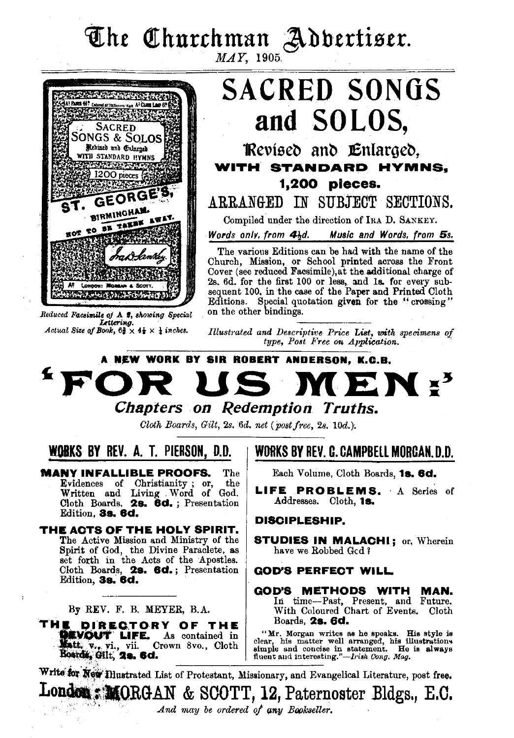# **The Churchman Adbertiser.** MAY, 1905.



*Reduced Facsimile oj* A *I, •lwwing Special Ltltering. Actual Size of Book,*  $6\frac{3}{8} \times 4\frac{1}{8} \times \frac{1}{4}$  *inches.* 

**SACRED SONGS and SOLOS,** 

**1Revised and Enlarged. WITH STANDARD HYMNS. 1,200 pieces.** 

**ARRANGED IN SUBJECT SECTIONS.** 

Compiled under the direction of IRA D. SANKEY.

*Words only, from 4bd.* Music and Words, from 5s.

The various Editions can be had with the name of the Church, Mission, or School printed across the Front Cover (see reduced Facsimile),at the additional charge of 2s. 6d. for the first 100 or less, and 1s. for every subsequent 100, in the case of the Paper and Printed Cloth Editions. Special quotation given for the "crossing" on the other bindings.

*Illustrated and Descriptive Price List, with specimens of type, Post Free on Application.* ·

# $A$  NEW WORK BY SIR ROBERT ANDERSON, K.G.B. • *Chapters on Redemption Truths.*

*Cloth Boards, Gilt,* 2s. *6d. net (post free,* 2s. 10d.);

**WOBKS BY REV. A. T. PIERSON, D.O.** 

**MANY INFALLIBLE PROOFS.** The Evidences of Christianity; or, the Evidences of Christianity ; or, the Written and Living . Word of God. Cloth Boards, **2s. 8d.** ; Presentation Edition, **as. 8d.** 

**THE ACTS OF THE HOLY SPIRIT.**  The Active Mission and Ministry of the<br>Spirit of God, the Divine Paraclete, as set forth in the Acts of the Apostles. Cloth Boards, **2s. 8d.** ; Presentation Edition, **as. 8d.** 

By REV. F. B. MEYER, B.A.

**THE DIRECTORY OF THE Boards, 2s. 6d. COLLECTION** CONTINUES **List CONTINUES** As contained in "Mr. Morgan writes as he speaks. His style is

## **WlmKS BY RE'/. C. CAMPBELL MORGAN. D.O.**

Each Volume, Cloth Boards, **1s. 8d.** 

**LIFE PROBLEMS.** A Series of Addresses. Cloth, **1s.** 

#### **DISCIPLESHIP.**

**STUDIES IN MALACHI;** or, Wherein have we Robbed Gcd 1

#### **GOD'S PERFECT WILL**

**GOD'S METHODS WITH MAN.**  hi time-Past, Present, and Future. With Coloured Chart of Events. Cloth

Matti, v., vi., vii. Crown 8vo., Cloth states in the matter well arranged, his illustrations is a state of the state of the state of the state of the state of the state of the state of the state of the state of the state o

Write for New Illustrated List of Protestant, Missionary, and Evangelical Literature, post free. London: MORGAN & SCOTT, 12, Paternoster Bldgs., E.C. And may be ordered of any Bookseller.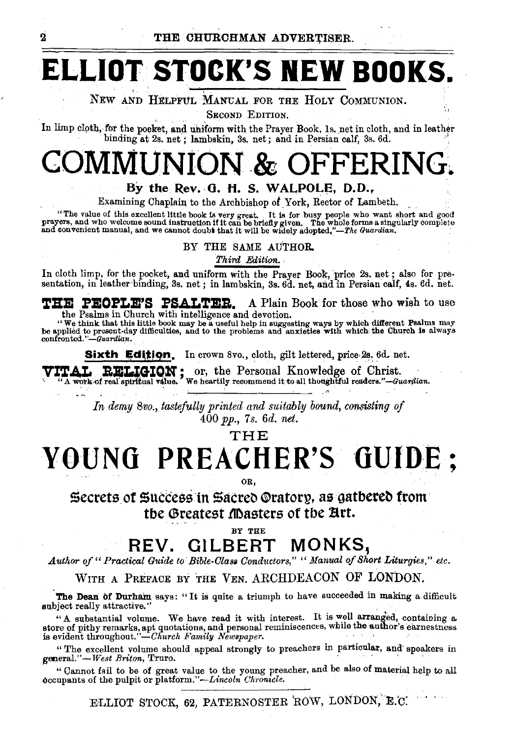# ELLIOT STOCK'S NEW BOOKS.

NEW AND HELPFUL MANUAL FOR THE HOLY COMMUNION.

SECOND EDITION.

In limp cloth, for the poeket, and uniform with the Prayer Book, 1s. net in cloth, and in leather binding at 2s. net; lambskin, 3s. net; and in Persian calf, 3s. 6d.

# & OFFERING.

#### By the Rev. G. H. S. WALPOLE, D.D.,

Examining Chaplain to the Archbishop of York, Rector of Lambeth.

"The value of this excellent little book is very great. It is for busy people who want short and good prayers, and who welcome sound instruction if it can be briefly given. The whole forms a singularly complete and conven

BY THE SAME AUTHOR.

Third Edition.

In cloth limp, for the pocket, and uniform with the Prayer Book, price 2s. net; also for presentation, in leather binding, 3s. net; in lambskin, 3s. 6d. net, and in Persian calf, 4s. 6d. net.

**THE PEOPLE'S PSALTER.** A Plain Book for those who wish to use the Psalms in Church with intelligence and devotion.

"We think that this little book may be a useful help in suggesting ways by which different Psalms may<br>be applied to present-day difficulties, and to the problems and anxieties with which the Church is always<br>confronted."—G

Sixth Edition. In crown 8vo., cloth, gilt lettered, price 2s. 6d. net.

ITAL **EHLIGION** ; or, the Personal Knowledge of Christ.<br>"A work of real spiritual value." We heartily recommend it to all thoughtful readers."—Guardian. **TTAL** 

> In demy 8vo., tastefully printed and suitably bound, consisting of  $400$  pp., 7s. 6d. net.

> > THE

# YOUNG PREACHER'S GUIDE;

OR.

Secrets of Success in Sacreo Oratory, as gathered from the Greatest Masters of the Art.

BY THE

#### **GILBERT** MONKS. REV.

Author of "Practical Guide to Bible-Class Conductors," "Manual of Short Liturgies," etc.

WITH A PREFACE BY THE VEN. ARCHDEACON OF LONDON.

The Dean of Durham says: "It is quite a triumph to have succeeded in making a difficult subject really attractive."

"A substantial volume. We have read it with interest. It is well arranged, containing a store of pithy remarks, and quotations, and personal reminiscences, while the author's earnestness is evident throughout."-Church Family Newspaper.

"The excellent volume should appeal strongly to preachers in particular, and speakers in general."-West Briton, Truro.

"Cannot fail to be of great value to the young preacher, and be also of material help to all occupants of the pulpit or platform."—Lincoln Chronicle.

ELLIOT STOCK, 62, PATERNOSTER ROW, LONDON, E.C.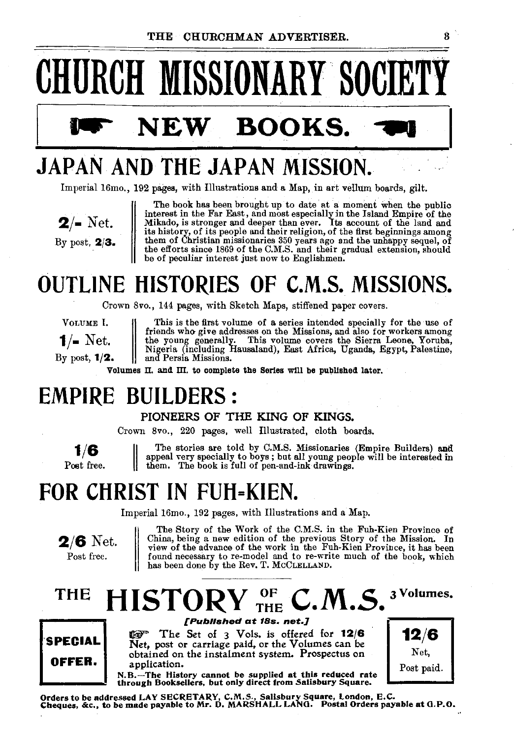

# **JAPAN AND THE JAPAN MISSION.**

Imperial 16mo., 192 pages, with Illustrations and a Map, in art vellum boards, gilt.

**2/·** Net. By post, **2/3.** 

The book has been brought up to date at a moment when the public interest in the Far East, and most especially in the Island Empire of the Mikado, is stronger and deeper than ever. Its account of the land and its history, of its people and their religion, of the first beginnings among them of Christian missionaries 350 years ago and the unhappy sequel, of the efforts since 1869 of the C.M.S. and their gradual extension, should be of peculiar interest just now to Englishmen.

# **OUTLINE HISTORIES OF C.M.S. MISSIONS.**

Crown Svo., 144 pages, with Sketch Maps, stiffened paper covers.

VOLUME I. This is the first volume of a series intended specially for the use of friends who give addresses on the Missions, and also for workers among **f**/ $\blacksquare$  Net.  $\blacksquare$  the young generally. This volume covers the Sierra Leone, Yoruba, Nigeria (including Hausaland), East Africa, Uganda, Egypt, Palestine, By post, **1/2.** and Persia Missions.

Volumes II. and III. to complete the Series will be published later.

# **EMPIRE BUILDERS** :

#### PIONEERS OF THE KING OF KINGS.

Crown Svo., 220 pages, well Illustrated, cloth boards.

**1/6**  Post free. II The stories are told by C.M.S. Missionaries (Empire Builders) anti appeal very specially to boys ; but all young people will be interested in them. The book is full of pen-and-ink drawings.

# **FOR CHRIST IN FUH=KIEN.**

Imperial 16mo., 192 pages, with Illustrations and a Map.



The Story of the Work of the C.M.S. in the Fuh-Kien Province of China, being a new edition of the previous Story of the Mission. In view of the advance of the work in the Fuh-Kien Province, it has been found necessary to re-model and to re-write much of the book, which has been done by the Rev. T. McCLELLAND.

### **THE**   $\textbf{HISTORV}_{\substack{\text{THE} \ \text{TE} \ \text{N.}}\sum \limits_{\text{Publlshod at 18s. net.} } \textbf{C.M.S.}}$ 3 Volumes.



@"' The Set of 3 Vols. is offered for **12/6**  Net, post or carriage paid, or the Volumes can be obtained on the instalment system. Prospectus on application.



N.B.-The History cannot be supplied at this reduced rate through Booksellers, but only direct from Salisbury Square.

Orders to be addressed LAY SECRETARY, C.M.S., Salisbury Square, London, E.C.<br>Cheques, &c., to be made payable to Mr. D. MARSHALL LANG. Postal Orders payable at G.P.O.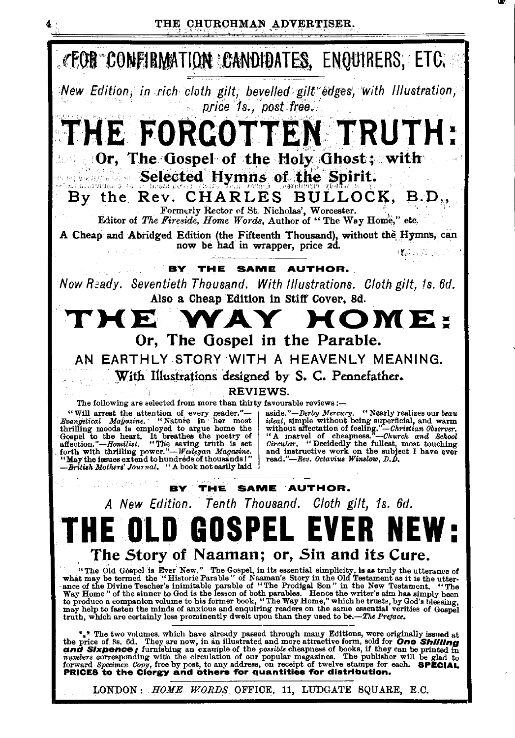

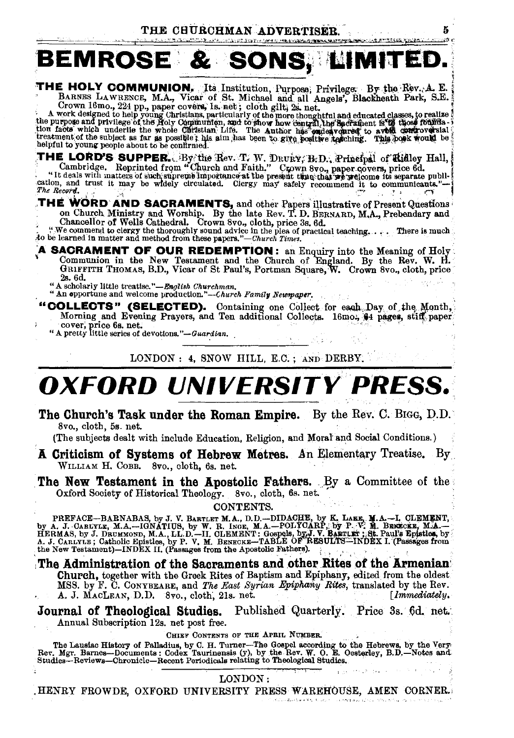5 .<br>NGC 1

#### visit All most fair additional teaming the experimental equations

# BEMROSE & SONS, LIMITED.

# **THE HOLY COMMUNION.** Its Institution, Purpose; Privilege: By the Rev. A. E.<br>BARNES LAWRENCE, M.A., Vicar of St. Michael and all Angels', Blackheath Park, S.E.<br>Crown 16mo., 224 pp., paper covers, Is. net; cloth gilt, 2s, n

Novem Four of the proper covers, is near the proper covers in the property of the property designed to help young Christians, particularly of the more thoughtful and educated classes, to realize the purpose and privilege o

THE LORD'S SUPPER. By the Rev. T. W. DRURY, B.D., Principal of Ridley Hall, Cambridge. Reprinted from "Church and Faith." Crown 8vo., paper covers, price 6d. "It deals with matters of such superwhether at the present thus The Record.

# THE WORD AND SACRAMENTS, and other Papers illustrative of Present Questions on Church Ministry and Worship. By the late Rev. T. D. BERNARD, M.A., Prebendary and Chancel for Wells Cathedral. Crown 8vo., cloth, price 3s, 6d.

- A SACRAMENT OF OUR REDEMPTION: an Enquiry into the Meaning of Holy Communion in the New Testament and the Church of England. By the Rev. W. H. GRIFFITH THOMAS, B.D., Vicar of St Paul's, Portman Square, W. Crown 8vo., cloth 2s. 6d.
	-

" Ascholarly little treatise."—English Churchman,<br>"An opportune and welcome production."—Church Family Newspaper.

- "COLLECTS" (SELECTED). Containing one Collect for each Day of the Month, Morning and Evening Prayers, and Ten additional Collects. 16mo., \$4 pages, stiff paper cover, price 6s. net.<br>"A pretty little series of devotions."—Guardian.
	-

LONDON : 4, SNOW HILL, E.C.; AND DERBY.

# **OXFORD UNIVERSITY PRESS.**

The Church's Task under the Roman Empire. By the Rev. C. BIGG, D.D. 8vo., cloth, 5s. net.

(The subjects dealt with include Education, Religion, and Moral and Social Conditions.)

A Criticism of Systems of Hebrew Metres. An Elementary Treatise. By WILLIAM H. COBB. 8vo., cloth, 6s. net.

The New Testament in the Apostolic Fathers. By a Committee of the Oxford Society of Historical Theology. 8vo., cloth, 6s. net.

**CONTENTS.** 

PREFACE-BARNABAS, by J. V. BARTLET M.A., D.D.-DIDACHE, by K. LAER, M.A.-I. CLEMENT, by A. J. CARLYLE, M.A.--IGNATIUS, by W. R. INGE, M.A.-POLYCARP, by P. V. M. BERKES, by P. V. M. BERKES, by P. V. M. BERKES, by J. D. CARLY

The Administration of the Sacraments and other Rites of the Armenian Church, together with the Greek Rites of Baptism and Epiphany, edited from the oldest MSS. by F. C. CONYBEARE, and The East Syrian Epiphany Rites, translated by the Rev.<br>A. J. MACLEAN, D.D. 8vo., cloth, 21s. net. [Immediately. [Immediately.

Journal of Theological Studies. Published Quarterly. Price 3s. 6d. net. Annual Subscription 12s. net post free.

CHIEF CONTENTS OF THE APRIL NUMBER.

The Lausiac History of Palladius, by C. H. Turner—The Gospel according to the Hebrews, by the Very-<br>Rev. Mgr. Barnes—Documents: Codex Taurinensis (y), by the Rev. W. O. E. Oesterley, B.D.—Notes and<br>Studies—Reviews—Chronicl

#### LONDON:

, HENRY FROWDE, OXFORD UNIVERSITY PRESS WAREHOUSE, AMEN CORNER.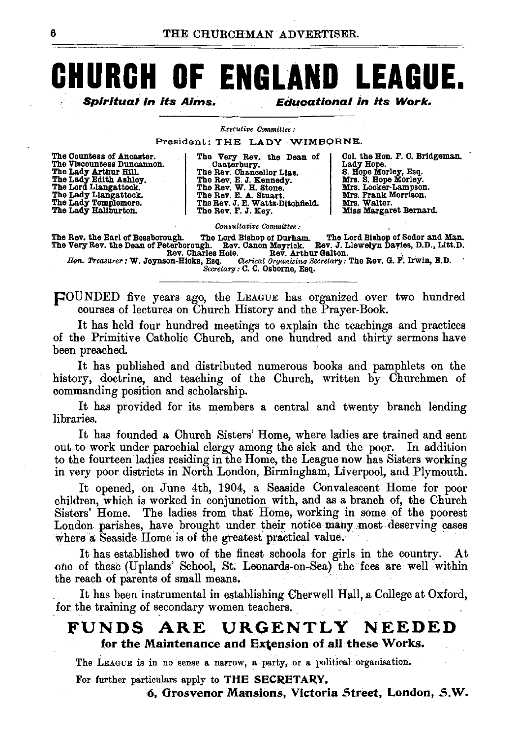# **CHURCH OF ENGLAND LEAGUE.**

Spiritual In Its Aims. Educational in its Work.

#### *Executive Committee :*

President: THE LADY W'IMBORNE.

| The Countess of Ancaster.  |  |
|----------------------------|--|
| The Viscountess Duncannon. |  |
| The Lady Arthur Hill.      |  |
| The Lady Edith Ashley.     |  |
| The Lord Llangattock.      |  |
| The Lady Llangattock.      |  |
| The Lady Templemore.       |  |
| The Lady Haliburton.       |  |

The Very Rev. the Dean of Canterbury. Canterbury.<br>The Rev. Chancellor Lias. The Rev. E. J. Kennedy.<br>The Rev. W. H. Stone.<br>The Rev. J. E. Watts-Ditchfield.<br>The Rev. F. J. Key.

Col. the Hon. F. C. Bridgeman.<br>Lady Hope.<br>S. Hope Morley, Esq.<br>Mrs. S. Hope Morley.<br>Mrs. Locker-Lampson.<br>Mrs. Walter.<br>Mrs. Walter. Miss Margaret Bernard.

*Consultative Committee :* 

The Rev. the Earl of Bessborough. The Lord Bishop of Durham. The Lord Bishop of Sodor and Man.<br>The Very Rev. the Dean of Peterborough. Rev. Clanon Meyrick. Rev. J. Llewelyn Davies, D.D., Litt.D.<br>Rev. Charles Hole. Rev. Art

pOUNDED five years ago, the LEAGUE has organized over two hundred courses of lectures on Church History and the Prayer-Book.

It has held four hundred meetings to explain the teachings and practices of the Primitive Catholic Church, and one hundred and thirty sermons have been preached.

It has published and distributed numerous books and pamphlets on the history, doctrine, and teaching of the Church, written by Churchmen of commanding position and scholarship.

It has provided for its members a central and twenty branch lending libraries.

It has founded a Church Sisters' Home, where ladies are trained and sent out to work under parochial clergy among the sick and the poor. In addition to the fourteen ladies residing in the Home, the League now has Sisters working in very poor districts in North London, Birmingham, Liverpool, and Plymouth.

It opened, on June 4th, 1904, a Seaside Convalescent Home for poor children, which is worked in conjunction with, and as a branch of, the Church Sisters' Home. The ladies from that Home, working in some of the poorest London parishes, have brought under their notice many most deserving cases where a Seaside Home is of the greatest practical value.

It has established two of the finest schools for girls in the country. At one of these (Uplands' School, St. Leonards-on-Sea) the fees are well within the reach of parents of small means.

It has been instrumental in establishing Cherwell Hall, a College at Oxford, for the training of secondary women teachers.

## FUNDS ARE URGENTLY NEEDED for the Maintenance and Extension of all these Works.

The LEAGUE is in no sense a narrow, a party, or a political organisation.

For further particulars apply to THE SECRETARY,

*6,* Grosvenor Mansions, Victoria Street, London, *5.W.*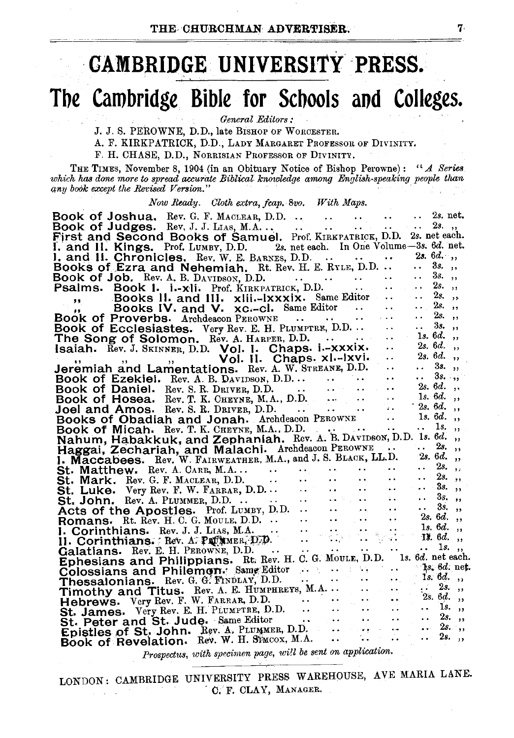# · **GAMBRIDGE UNIVERSITY 'PRESS.**

# **Tbe Cambridge Bible for Scbools aod Colleges.**

*General Editors:* 

J. J. S. PEROWNE, D. D., late BISHOP OF WoRCESTER.

A. F. KIRKPATRICK, D.D., LADY MARGARET PROFESSOR OF DIVINITY.

F. H. CHASE, D.D., NoRRISIAN PROFESSOR OF DIVINITY.

THE TIMES, November 8, I904 (in an Obituary Notice of Bishop Perowne): *"A Series which* has *done more to spread accurate Biblieal knowledge among English-speaking people than*  any book except the Revised Version."

#### *Now Ready. Cloth extra, jcap. 8vo. With Maps.*

| Book of Joshua. Rev. G. F. MACLEAR, D.D. 2s. net.                                                                                                                                                                                                                                         |               |               |  |
|-------------------------------------------------------------------------------------------------------------------------------------------------------------------------------------------------------------------------------------------------------------------------------------------|---------------|---------------|--|
|                                                                                                                                                                                                                                                                                           |               |               |  |
|                                                                                                                                                                                                                                                                                           |               |               |  |
| I. and II. Kings. Prof. LUMBY, D.D. 2s. net each. In One Volume-3s. 6d. net.                                                                                                                                                                                                              |               |               |  |
|                                                                                                                                                                                                                                                                                           |               |               |  |
| 1. and 11. Chronicles. Rev. W. E. BARNES, D.D.    2s. 6d.,<br>Books of Ezra and Nehemiah. Rt. Rev. H. E. RYLE, D.D.   3s.,                                                                                                                                                                |               |               |  |
| Book of Job. Rev. A. B. DAVIDSON, D.D.                                                                                                                                                                                                                                                    | $\mathbf{A}$  | $3s.$ ,       |  |
| Psalms. Book 1. i.-xli. Prof. KIRKPATRICK, D.D.                                                                                                                                                                                                                                           | $\sim$ $\sim$ | 2s.,          |  |
| " Books II. and III. xlii.-Ixxxix. Same Editor                                                                                                                                                                                                                                            | $\ddotsc$     | $2s.$ ,       |  |
| Books IV. and V. xc.-cl. Same Editor                                                                                                                                                                                                                                                      | $\ldots$ 2s., |               |  |
|                                                                                                                                                                                                                                                                                           | $\ldots$ 2s., |               |  |
| Book of Ecclesiastes. Very Rev. E. H. PLUMPTRE, D.D .                                                                                                                                                                                                                                     |               | 3s.,          |  |
| $\ddotsc$<br>The Song of Solomon. Rev. A. HARPER, D.D.                                                                                                                                                                                                                                    | $1s.6d.$ ,    |               |  |
| Isaiah. Rev. J. SKINNER, D.D. Vol. I. Chaps. i.-xxxix.<br>Isaimiah and I american Vol. II. Chaps. xl.-1xvi.<br>$\dddot{\phantom{0}}$                                                                                                                                                      | $2s. 6d.$ ,   |               |  |
| $\ddotsc$                                                                                                                                                                                                                                                                                 | $2s. 6d.$ ,   |               |  |
|                                                                                                                                                                                                                                                                                           | $\mathbf{L}$  | $3s.$ ,       |  |
| Jeremiah and Lamentations. Rev. A. W. STREANE, D.D.<br>Book of Ezekiel. Rev. S. R. DRVIDEON, D.D.<br>Book of Daniel. Rev. S. R. DRVIDEON, D.D.<br>Book of Hosea. Rev. T. K. CHEYNE, D.D.<br>Joel and Amos. Rev. S. R. DRIVER, D.D.<br>Books of Obadiah and Jonah. Archdescon PEROWNE  1s. | $\frac{1}{2}$ |               |  |
|                                                                                                                                                                                                                                                                                           |               |               |  |
|                                                                                                                                                                                                                                                                                           |               |               |  |
|                                                                                                                                                                                                                                                                                           |               |               |  |
|                                                                                                                                                                                                                                                                                           |               |               |  |
| Book of Micah. Rev. T. K. CHEYNE, M.A., D.D.                                                                                                                                                                                                                                              |               | 1s.,          |  |
| Nahum, Habakkuk, and Zephaniah. Rev. A. B. DAVIDSON, D.D. 1s. 6d.,                                                                                                                                                                                                                        |               |               |  |
| Haggai, Zechariah, and Malachi. Archdeacon PEROWNE                                                                                                                                                                                                                                        |               | 2s.,          |  |
| I. Maccabees. Rev. W. FAIRWEATHER, M.A., and J. S. BLACK, LL.D. 2s. 6d.,                                                                                                                                                                                                                  |               |               |  |
| $\ddotsc$                                                                                                                                                                                                                                                                                 | $\cdots$ 2s., |               |  |
|                                                                                                                                                                                                                                                                                           |               |               |  |
| St. Mark, Rev. G. F. MACLEAR, D.D.<br>St. Luke. Very Rev. F. MACLEAR, D.D.<br>St. Luke. Very Rev. F. W. FARRAR, D.D.<br>St. Luke. Very Rev. H. W. FARRAR, D.D.<br>St. John. Rev. H. C. G. MOULE, D.D.<br>Acts of the Apostles. Prof. Luw                                                  |               |               |  |
|                                                                                                                                                                                                                                                                                           |               |               |  |
|                                                                                                                                                                                                                                                                                           |               |               |  |
|                                                                                                                                                                                                                                                                                           |               |               |  |
|                                                                                                                                                                                                                                                                                           |               |               |  |
|                                                                                                                                                                                                                                                                                           |               |               |  |
|                                                                                                                                                                                                                                                                                           |               |               |  |
| Ephesians and Philippians. Rt. Rev. H. C. G. MouLE, D.D. 1s. 6d. net each.                                                                                                                                                                                                                |               |               |  |
|                                                                                                                                                                                                                                                                                           |               |               |  |
|                                                                                                                                                                                                                                                                                           |               |               |  |
|                                                                                                                                                                                                                                                                                           |               |               |  |
|                                                                                                                                                                                                                                                                                           |               |               |  |
| Hebrews. Very Rev. E. H. Pittmann, D.D.<br>St. James. Very Rev. E. H. Pittmann, D.D.                                                                                                                                                                                                      |               |               |  |
|                                                                                                                                                                                                                                                                                           |               |               |  |
|                                                                                                                                                                                                                                                                                           |               | $\ldots$ 2s., |  |
| A.<br>iv.                                                                                                                                                                                                                                                                                 | $\ldots$ 2s., |               |  |
| Book of Revelation. Rev. W. H. Stwcox, M.A.                                                                                                                                                                                                                                               |               |               |  |

*Prospectus, with specimen page, wi!l be sent on application.* 

LONDON: CAMBRIDGE UNIVERSITY PRESS WAREHOUSE, AVE MARIA LANE. C. F. CLAY, MANAGER.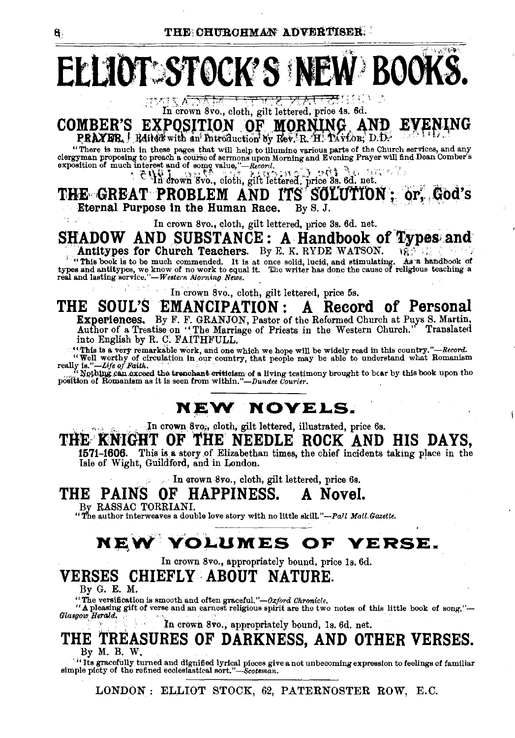# $\mathcal{L}_{\mathcal{P}}(\mathcal{L}_{\mathcal{P}}^{\mathcal{P}}(\mathcal{L}_{\mathcal{P}}^{\mathcal{P}}))$ ELLIOT: STOCK'S NEW BOOKS

<del>া দ্যাত্ত সমে তে</del> গ্ৰে  $T_1 \leq \sqrt{N_1 N_2 + N_1 + N_2 + N_3 + N_4}$  The crown 8vo., cloth, gilt lettered, price 4s. 6d.

EXPOSITION OF MORNING AND **COMBER'S PRAYER**, *H*direct with an Introduction by Rev. R. H. TAYLOR, D.D.

There is much in these pages that will help to illumino various parts of the Church services, and any clergyman proposing to preach a course of sermons upon Morning and Evoning Prayer will find Dean Comber's exposition of

THE GREAT PROBLEM AND ITS SOLUTION: or. God's Eternal Purpose in the Human Race. By S. J.

In crown 8vo., cloth, gilt lettered, price 3s. 6d. net.

### SHADOW AND SUBSTANCE: A Handbook of Types and Antitypes for Church Teachers. By E. K. RYDE WATSON.

This book is to be much commended. It is at once solid, lucid, and stimulating. As a handbook of types and antitypes, we know of no work to equal it. The writer has done the cause of religious teaching a real and lasting s

In crown 8vo., cloth, gilt lettered, price 5s.

#### THE SOUL'S EMANCIPATION: A Record of Personal Experiences. By F. F. GRANJON, Pastor of the Reformed Church at Puys S. Martin, Author of a Treatise on "The Marriage of Priests in the Western Church." Translated Translated into English by R. C. FAITHFULL.

"This is a very remarkable work, and one which we hope will be widely read in this country."-Record. Well worthy of circulation in our country, that people may be able to understand what Romanism<br>really is."—Life of Faith.

Nothing can exceed the trenchant criticism of a living testimony brought to bear by this book upon the position of Romanism as it is seen from within."-Dundee Courier.

## **NEW NOYELS.**

In crown 8vo., cloth, gilt lettered, illustrated, price 6s.

## THE KNIGHT OF THE NEEDLE ROCK AND HIS DAYS,

1571-1606. This is a story of Elizabethan times, the chief incidents taking place in the Isle of Wight, Guildford, and in London.

In crown 8vo., cloth, gilt lettered, price 6s.

#### THE PAINS OF HAPPINESS. A Novel.

By RASSAC TORRIANI.

"The author interweaves a double love story with no little skill."-Pall Mall Gazette.

# NEW YOLUMES OF YERSE.

In crown 8vo., appropriately bound, price 1s. 6d.

## VERSES CHIEFLY ABOUT NATURE.

By G. E. M.

"The versification is smooth and often graceful." $-\partial x$  ford Chronicle.

"A pleasing gift of verse and an earnest religious spirit are the two notes of this little book of song."-Glasgow Herald.

In crown 8vo., appropriately bound, 1s. 6d. net.

#### THE TREASURES OF DARKNESS, AND OTHER VERSES. By M. B. W.

<sup>11</sup> Its gracefully turned and dignified lyrical pieces give a not unbecoming expression to feelings of familiar simple picty of the refined ecclesiastical sort."—Scotsman.

LONDON: ELLIOT STOCK, 62, PATERNOSTER ROW, E.C.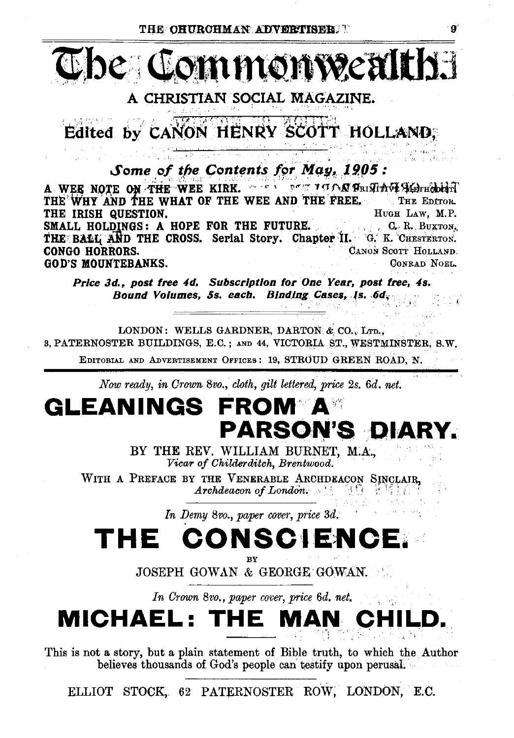

A CHRISTIAN SOCIAL MAGAZINE.

Edited by CANON HENRY SCOTT HOLLAND.

Some of the Contents for May, 1905:

A WEE NOTE ON THE WEE KIRK. A SALL PLATIC LOOPER THE SERVE AND THE WHY AND THE WHAT OF THE WEE AND THE FREE. THE EDITOR. THE IRISH QUESTION. HUGH LAW, M.P. SMALL HOLDINGS: A HOPE FOR THE FUTURE. C. R. BUXTON. THE BALL AND THE CROSS. Serial Story. Chapter II. G. K. CHESTERTON. **CONGO HORRORS.** CANON SCOTT HOLLAND **GOD'S MOUNTEBANKS.** CONRAD NOEL.

Price 3d., post free 4d. Subscription for One Year, post free, 4s. Bound Volumes, 5s. each. Binding Cases, 1s. 6d.

LONDON: WELLS GARDNER, DARTON & CO., LTD., 3, PATERNOSTER BUILDINGS, E.C.; AND 44, VICTORIA ST., WESTMINSTER, S.W.

EDITORIAL AND ADVERTISEMENT OFFICES: 19, STROUD GREEN ROAD, N.

Now ready, in Crown 8vo., cloth, gilt lettered, price 2s, 6d, net.

## GLEANINGS **FROM A** PARSON'S DIA

BY THE REV. WILLIAM BURNET, M.A., Vicar of Childerditch, Brentwood.

WITH A PREFACE BY THE VENERABLE ARCHDEACON SINCLAIR. Archdeacon of London.

In Demy 8vo., paper cover, price 3d.

## THE CONSCHENCE

JOSEPH GOWAN & GEORGE GOWAN.

In Crown 8vo., paper cover, price 6d. net.

**MICHAEL: TI** 

This is not a story, but a plain statement of Bible truth, to which the Author believes thousands of God's people can testify upon perusal.

ELLIOT STOCK, 62 PATERNOSTER ROW, LONDON, E.C.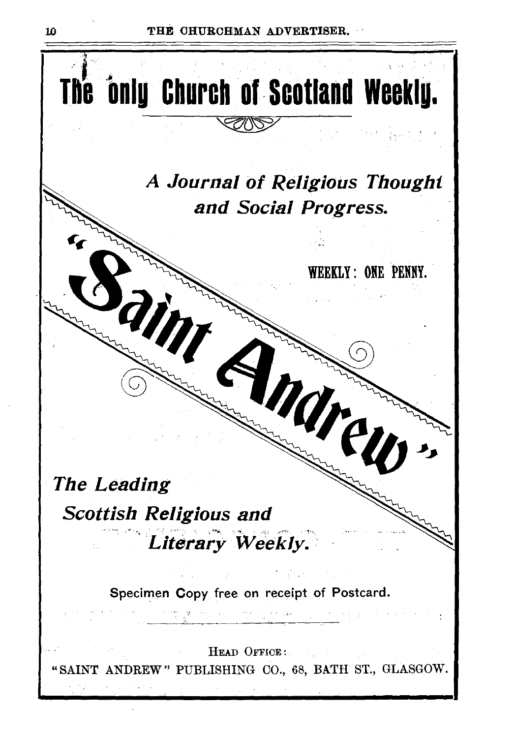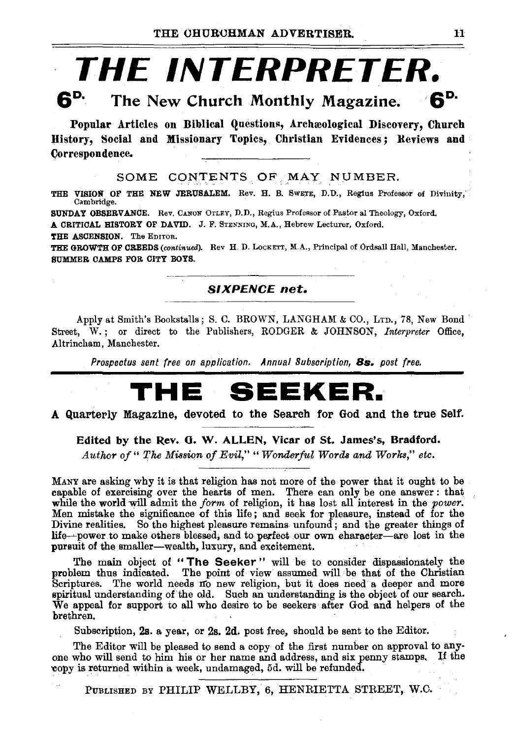# **THE INTERPRETER.**<br>6<sup>p.</sup> The New Church Monthly Magazine

# The New Church Monthly Magazine.  $6^D$

Popular Articles on Biblical Questions, Archæological Discovery, Church History, Social and Missionary Topics, Christian Evidences; Reviews and Correspondence.

SOME CONTENTS OF MAY NUMBER.

THE VISION OF THE NEW JERUSALEM. Rev. H. B. Swerz, D.D., Regius Professor of Divinity, Cambridge.

SUNDAY OBSERVANCE. Rev. CANON OTLEY, D.D., Regius Professor of Pastor al Theology, Oxford. A CRITICAL HISTORY OF DAVID. J. F. STENNUm, M.A., Hebrew Lecturer, Oxford.

THE ASCENSION. The EDITOR.

THE GROWTH OF CREEDS (continued). Rev H. D. LocKETT, M.A., Principal of Ordsall Hall, Manchester. SUMMER CAMPS FOR CITY BOYS.

#### SIXPENCE *net.*

Apply at Smith's Bookstalls; S. C. BROWN, LANGHAM & CO., LTD., 78, New Bond Street, W.; or direct to the Publishers, RODGER & JOHNSON, *Interpreter* Office, Altrincham, Manchester.

*Prospectus sent free on application. Annual Subscription,* Bs. *post free.* 

# **THE SEEKER.**

#### A Quarterly Magazine, devoted to the Search for God and the true Self.

Edited by the Rev. 0. W. ALLEN, Vicar of St. James's, Bradford.

*Author of" The Mission of Evil," "Wonderful Words and Works," etc.* 

MANY are asking why it is that religion has not more of the power that it ought to be capable of exercising over the hearts of men. There can only be one answer: that while the world will admit the *form* of religion, it has lost all interest in the *power*. Men mistake the significance of this life ; and seek for pleasure, instead of for the Divine realities. So the highest pleasure remains unfound ; and the greater things of life---power to make others blessed, and to perfect our own character-are lost in the pursuit of the smaller-wealth, luxury, and excitement.

The main object of " The Seeker " will be to consider dispassionately the problem thus indicated. The point of view assumed will be that of the Christian Scriptures. The world needs Ifo new religion, but it does need a deeper and more spiritual understanding of the old. Such an understanding is the object of our search. We appeal for support to all who desire to be seekers after God and helpers of the brethren.

Subscription, 2s. a year, or 2s. 2d. post free, should be sent to the Editor.

The Editor will be pleased to send a copy of the first number on approval to any· one who will send to him his or her name and address, and six penny stamps, If the 'Copy is returned within a week, undamaged, 5d. will be refunded.

PUBLISHED BY PHILIP WELLBY, 6, HENRIETTA STREET, W.O.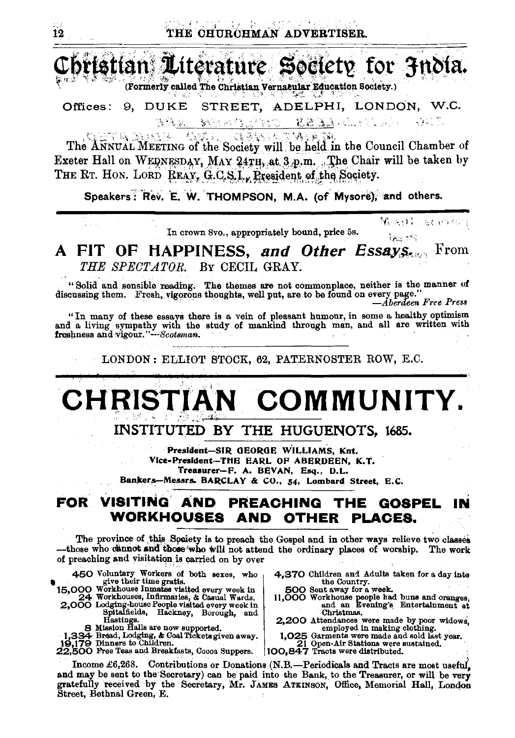bristian Literature Society for Jndia.

(Formerly called The Christian Vernacular Education Society.)

Offices: 9, DUKE STREET, ADELPHI, LONDON, W.C. STAR START START **MARAGEMENT** 

ETA ELKERIKO KERA DE EREGINEA ERA The ANNUAL MEETING of the Society will be held in the Council Chamber of Exeter Hall on WEDNESDAY, MAY 24TH, at 3 p.m., The Chair will be taken by THE RT. HON. LORD REAY, G.C.S.I., President of the Society.

Speakers: Rev. E. W. THOMPSON, M.A. (of Mysore), and others.

In crown 8vo., appropriately bound, price 5s.

## A FIT OF HAPPINESS, and Other Essays. THE SPECTATOR. BY CECIL GRAY.

"Solid and sensible reading. The themes are not commonplace, neither is the manner of discussing them. Fresh, vigorous thoughts, well put, are to be found on every page."

-Åberdeen Free Press

36、后往来的无私的女人的时

las no

"In many of these essays there is a vein of pleasant humour, in some a healthy optimism and a living sympathy with the study of mankind through man, and all are written with

LONDON: ELLIOT STOCK, 62, PATERNOSTER ROW, E.C.

# CHRISTIAN COMMUNITY.

INSTITUTED BY THE HUGUENOTS, 1685.

President-SIR GEORGE WILLIAMS, Knt. Vice-President-THE EARL OF ABERDEEN, K.T. Treasurer-F. A. BEVAN, Esq., D.L. Bankers-Messrs. BARCLAY & CO., 54, Lombard Street, E.C.

#### FOR. VISITING AND PREACHING THE GOSPEL IN WORKHOUSES AND OTHER PLACES.

The province of this Society is to preach the Gospel and in other ways relieve two classes -those who cannot and those who will not attend the ordinary places of worship. The work of preaching and visitation is carried on by over

- 450 Voluntary Workers of both sexes, who<br>15,000 Workhouse Innates visited every week in<br>15,000 Workhouses Infrancies, & Casual Wards.<br>2,000 Lodging-house People visited every week in<br>the ended overy week in<br>the ended overy
	-
	-
	-
- Hastings.<br>
Hastings.<br>
1,334 Bread, Lodging, & Coal Tickets given away.<br>
19,179 Dinners to Children.<br>
22,500 Free Teas and Breakfasts, Cocoa Suppers.
- 4,370 Children and Adults taken for a day into the Country.
- 500 Sent away for a week. 11,000 Workhouse people had buns and oranges,<br>and an Evening's Entertainment at Christmas.
- 2,200 Attendances were made by poor widows,<br>employed in making clothing.<br>1,025 Garments were made and sold last year.
- 21 Open-Air Stations were sustained.

100,847 Tracts were distributed.

Income £6,268. Contributions or Donations (N.B.-Periodicals and Tracts are most useful, and may be sent to the Secretary) can be paid into the Bank, to the Treasurer, or will be very gratefully received by the Secretary, Mr. JAMES ATKINSON, Office, Memorial Hall, London Street, Bethnal Green, E.

 $\overline{12}$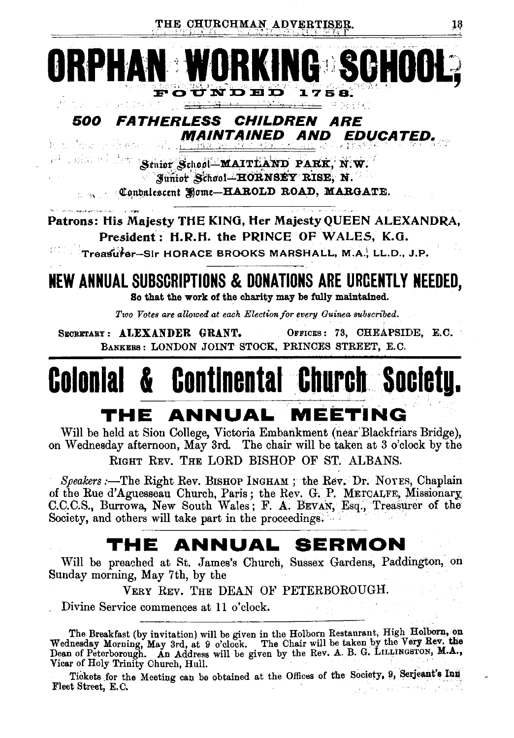

#### 500 *FATHERLESS CHILDREN ARE* **MAINTAINED AND** *EDUCATED.* ie z Askor S

Al Calific of The Senior School MAITLAND PARK, N.W. Junior School-HORNSEY RISE, N. Contractor of Some-HAROLD ROAD, MARGATE.

Patrons: His Majesty THE KING, Her Majesty QUEEN ALEXANDRA, President: H.R.H. the PRINCE OF WALES, K.G.

Treasurer-Sir HORACE BROOKS MARSHALL, M.A., LL.D., J.P.

## NEW ANNUAL SUBSCRIPTIONS & DONATIONS ARE URCENTLY NEEDED. So that the work of the charity may be fully maintained.

Two Votes are allowed at each Election for every Guinea subscribed.

SECRETARY: ALEXANDER GRANT. OFFICES: 73, CHEAPSIDE, E.C. BANKERS: LONDON JOINT STOCK, PRINCES STREET, E.C.

# **& Continental Church Society.** Colonial

# THE ANNUAL MEETING

Will be held at Sion College, Victoria Embankment (near Blackfriars Bridge), on Wednesday afternoon, May 3rd. The chair will be taken at 3 o'clock by the RIGHT REV. THE LORD BISHOP OF ST. ALBANS.

Speakers :- The Right Rev. BISHOP INGHAM; the Rev. Dr. NOYES, Chaplain of the Rue d'Aguesseau Church, Paris; the Rev. G. P. METCALFE, Missionary. C.C.C.S., Burrowa, New South Wales; F. A. BEVAN, Esq., Treasurer of the Society, and others will take part in the proceedings.

# THE ANNUAL SERMON

Will be preached at St. James's Church, Sussex Gardens, Paddington, on Sunday morning, May 7th, by the

VERY REV. THE DEAN OF PETERBOROUGH.

Divine Service commences at 11 o'clock.

The Breakfast (by invitation) will be given in the Holborn Restaurant, High Holborn, on Wednesday Morning, May 3rd, at 9 o'clock. The Chair will be taken by the Very Rev. the Dean of Peterborough. An Address will be given Vicar of Holy Trinity Church, Hull.

Tickets for the Meeting can be obtained at the Offices of the Society, 9, Serjeant's Inn Fleet Street, E.C.  $\mathcal{A}_{\mathcal{A}}$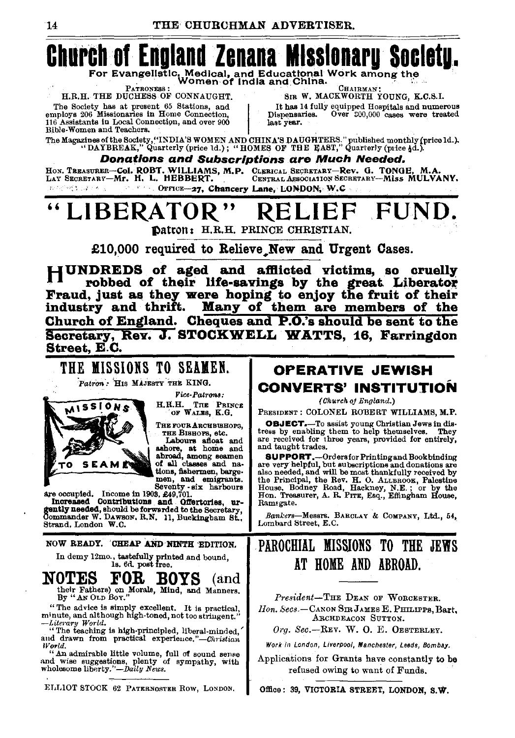

**SUPPORT.**-Ordersfor Printing and Bookbinding<br>are very helpful, but subscriptions and donations are also needed, and will be most thankfully received by also needed, all will be most maintainly received by<br>the Principal, the Rev. H. O. ALLBROOK, Palestine<br>House, Bodney Road, Hackney, N.E.; or by the<br>Hon. Treasurer, A. R. Prrz, Esq., Effingham House, Ramsgate.

Bankers-Messrs. BARCLAY & COMPANY, Ltd., 54, Lombard Street, E.C.

## PAROCHIAL MISSIONS TO THE JEWS AT HOME AND ABROAD.

President-THE DEAN OF WORCESTER. Hon. Secs.-CANON SIR JAMES E. PHILIPPS, Bart, ARCHDEACON SUTTON.

Org. Sec.-REV. W. O. E. OESTERLEY.

Work in London, Liverpool, Manchester, Leeds, Bombay.

Applications for Grants have constantly to be refused owing to want of Funds.

Office: 39, VICTORIA STREET, LONDON, S.W.

Strand, London W.C.

ashore, at home and abroad, among seamen of all classes and nations, fishermen, bargemen, and emigrants. Seventy six harbours

are occupied. Income in 1903, 249,701.<br>Increased Contributions and Coffertories, ure-<br>gently needed, should be forwarded to the Secretary,<br>Commander W. Dawsov, R.N. 11, Buckingham St.,

NOW READY. CHEAP AND NINTH EDITION.

In demy 12mo., tastefully printed and bound,<br>1s. 6d. post free.

**NOTES** FOR **ROXP** (and their Fathers) on Morals, Mind, and Manners.<br>By "AN OLD Box."

"The advice is simply excellent. It is practical, minute, and although high-toned, not too stringent. -Literary World.

"The teaching is high-principled, liberal-minded,"<br>and drawn from practical experience."—Christian

World.<br>"An admirable little volume, full of sound sense<br>"An admirable little plants of sympathy, with and wise suggestions, plenty of sympathy, with wholesome liberty."-Daily News.

ELLIOT STOCK 62 PATERNOSTER ROW, LONDON.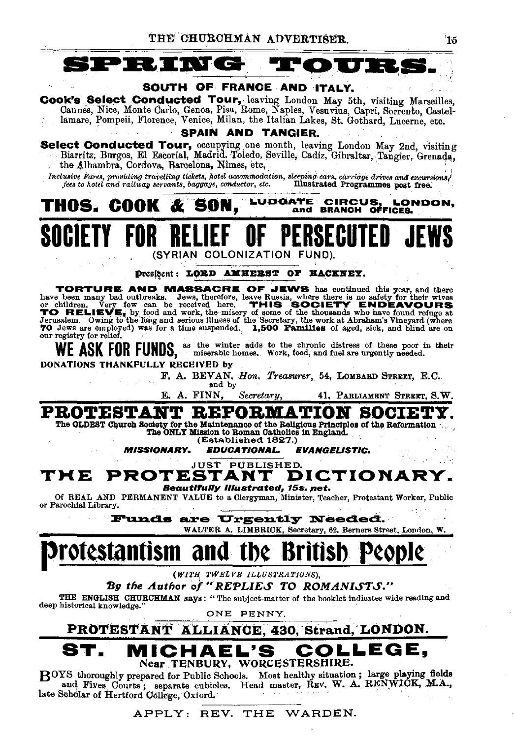

**TORTURE AND MASSACRE OF JEWS** has continued this year, and there have been many bad outbreaks. Jews, therefore, leave Russia, where there is no safety for their wives or children. Very few can be received here. THIS SOCIE our registry for relief.

WE ASK FOR FUNDS, as the winter adds to the chronic distress of these poor in their

DONATIONS THANKFULLY RECEIVED by

F. A. BEVAN, Hon. Treasurer, 54, LOMBARD STREET, E.C.

and by

E. A. FINN. Secretary, 41, PARLIAMENT STREET, S.W.

PROTESTANT REFORMATION SOCIET The OLDEST Church Society for the Maintenance of the Religious Principles of the Reformation The ONLY Mission to Roman Catholics in England. (Established 1827.)

**MISSIONARY. EDUCATIONAL. EVANGELISTIC.** 

**JUST PUBLISHED.** 

THE **PROTESTANT** DICTIONARY. **Beautifully Illustrated, 15s. net.** 

Of REAL AND PERMANENT VALUE to a Clergyman, Minister, Teacher, Protestant Worker, Public or Parochial Library.

> **Funds are Urgently Needed.** WALTER A. LIMBRICK, Secretary, 62, Berners Street, London, W.

# otestantism and the Br

(WITH TWELVE ILLUSTRATIONS),

By the Author of "REPLIES TO ROMANISTS."

THE ENGLISH CHURCHMAN says: "The subject-matter of the booklet indicates wide reading and deep historical knowledge."

ONE PENNY.

#### PROTESTANT ALLIANCE, 430, Strand, LONDON. EL'S LEGE. Near TENBURY, WORCESTERSHIRE.

BOYS thoroughly prepared for Public Schools. Most healthy situation; large playing fields and Fives Courts; separate cubicles. Head master, REV. W. A. RENWICK, M.A., late Scholar of Hertford College, Oxford.

### APPLY: REV. THE WARDEN.